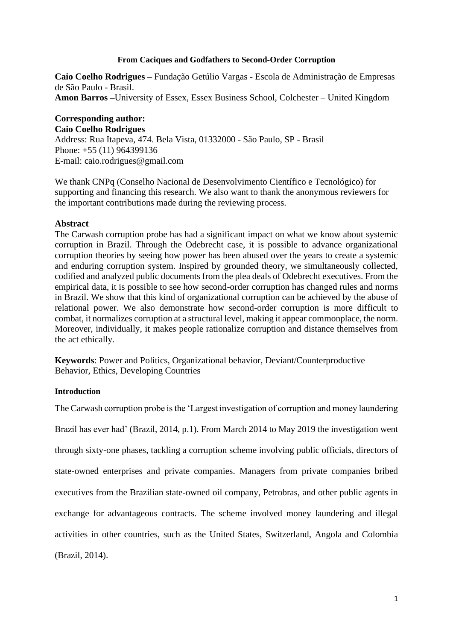### **From Caciques and Godfathers to Second-Order Corruption**

**Caio Coelho Rodrigues –** Fundação Getúlio Vargas - Escola de Administração de Empresas de São Paulo - Brasil. **Amon Barros –**University of Essex, Essex Business School, Colchester – United Kingdom

# **Corresponding author:**

**Caio Coelho Rodrigues** 

Address: Rua Itapeva, 474. Bela Vista, 01332000 - São Paulo, SP - Brasil Phone: +55 (11) 964399136 E-mail: caio.rodrigues@gmail.com

We thank CNPq (Conselho Nacional de Desenvolvimento Científico e Tecnológico) for supporting and financing this research. We also want to thank the anonymous reviewers for the important contributions made during the reviewing process.

## **Abstract**

The Carwash corruption probe has had a significant impact on what we know about systemic corruption in Brazil. Through the Odebrecht case, it is possible to advance organizational corruption theories by seeing how power has been abused over the years to create a systemic and enduring corruption system. Inspired by grounded theory, we simultaneously collected, codified and analyzed public documents from the plea deals of Odebrecht executives. From the empirical data, it is possible to see how second-order corruption has changed rules and norms in Brazil. We show that this kind of organizational corruption can be achieved by the abuse of relational power. We also demonstrate how second-order corruption is more difficult to combat, it normalizes corruption at a structural level, making it appear commonplace, the norm. Moreover, individually, it makes people rationalize corruption and distance themselves from the act ethically.

**Keywords**: Power and Politics, Organizational behavior, Deviant/Counterproductive Behavior, Ethics, Developing Countries

# **Introduction**

The Carwash corruption probe is the 'Largest investigation of corruption and money laundering

Brazil has ever had' (Brazil, 2014, p.1). From March 2014 to May 2019 the investigation went through sixty-one phases, tackling a corruption scheme involving public officials, directors of state-owned enterprises and private companies. Managers from private companies bribed executives from the Brazilian state-owned oil company, Petrobras, and other public agents in exchange for advantageous contracts. The scheme involved money laundering and illegal activities in other countries, such as the United States, Switzerland, Angola and Colombia (Brazil, 2014).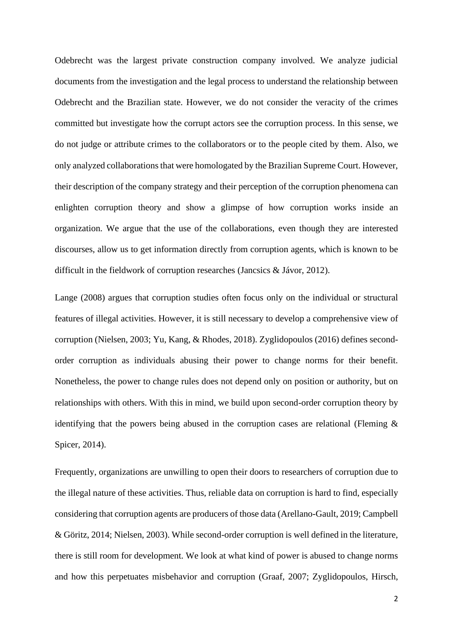Odebrecht was the largest private construction company involved. We analyze judicial documents from the investigation and the legal process to understand the relationship between Odebrecht and the Brazilian state. However, we do not consider the veracity of the crimes committed but investigate how the corrupt actors see the corruption process. In this sense, we do not judge or attribute crimes to the collaborators or to the people cited by them. Also, we only analyzed collaborations that were homologated by the Brazilian Supreme Court. However, their description of the company strategy and their perception of the corruption phenomena can enlighten corruption theory and show a glimpse of how corruption works inside an organization. We argue that the use of the collaborations, even though they are interested discourses, allow us to get information directly from corruption agents, which is known to be difficult in the fieldwork of corruption researches (Jancsics & Jávor, 2012).

Lange (2008) argues that corruption studies often focus only on the individual or structural features of illegal activities. However, it is still necessary to develop a comprehensive view of corruption (Nielsen, 2003; Yu, Kang, & Rhodes, 2018). Zyglidopoulos (2016) defines secondorder corruption as individuals abusing their power to change norms for their benefit. Nonetheless, the power to change rules does not depend only on position or authority, but on relationships with others. With this in mind, we build upon second-order corruption theory by identifying that the powers being abused in the corruption cases are relational (Fleming & Spicer, 2014).

Frequently, organizations are unwilling to open their doors to researchers of corruption due to the illegal nature of these activities. Thus, reliable data on corruption is hard to find, especially considering that corruption agents are producers of those data (Arellano-Gault, 2019; Campbell & Göritz, 2014; Nielsen, 2003). While second-order corruption is well defined in the literature, there is still room for development. We look at what kind of power is abused to change norms and how this perpetuates misbehavior and corruption (Graaf, 2007; Zyglidopoulos, Hirsch,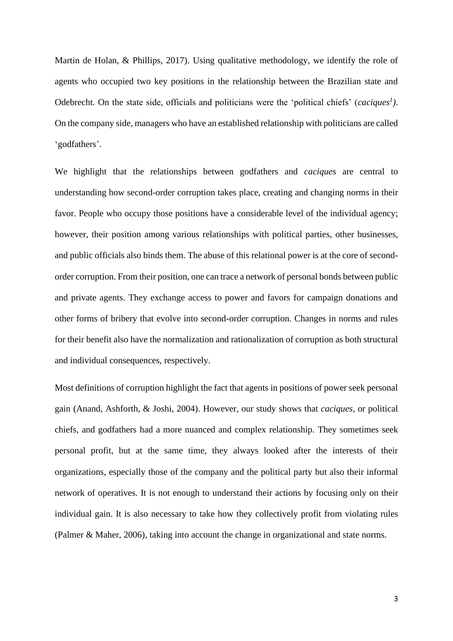Martin de Holan, & Phillips, 2017). Using qualitative methodology, we identify the role of agents who occupied two key positions in the relationship between the Brazilian state and Odebrecht. On the state side, officials and politicians were the 'political chiefs' (*caciques<sup>1</sup> )*. On the company side, managers who have an established relationship with politicians are called 'godfathers'.

We highlight that the relationships between godfathers and *caciques* are central to understanding how second-order corruption takes place, creating and changing norms in their favor. People who occupy those positions have a considerable level of the individual agency; however, their position among various relationships with political parties, other businesses, and public officials also binds them. The abuse of this relational power is at the core of secondorder corruption. From their position, one can trace a network of personal bonds between public and private agents. They exchange access to power and favors for campaign donations and other forms of bribery that evolve into second-order corruption. Changes in norms and rules for their benefit also have the normalization and rationalization of corruption as both structural and individual consequences, respectively.

Most definitions of corruption highlight the fact that agents in positions of power seek personal gain (Anand, Ashforth, & Joshi, 2004). However, our study shows that *caciques*, or political chiefs, and godfathers had a more nuanced and complex relationship. They sometimes seek personal profit, but at the same time, they always looked after the interests of their organizations, especially those of the company and the political party but also their informal network of operatives. It is not enough to understand their actions by focusing only on their individual gain. It is also necessary to take how they collectively profit from violating rules (Palmer & Maher, 2006), taking into account the change in organizational and state norms.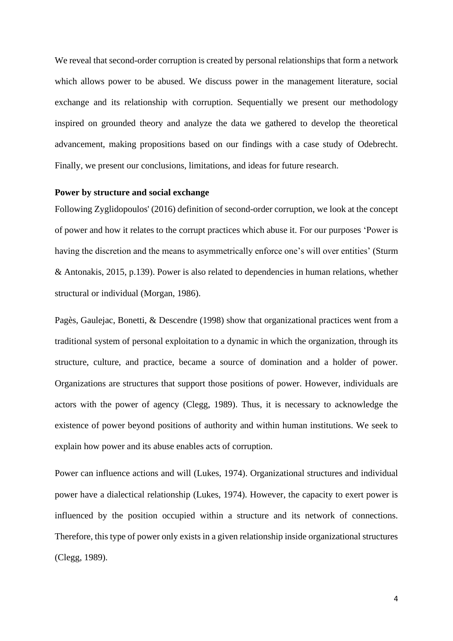We reveal that second-order corruption is created by personal relationships that form a network which allows power to be abused. We discuss power in the management literature, social exchange and its relationship with corruption. Sequentially we present our methodology inspired on grounded theory and analyze the data we gathered to develop the theoretical advancement, making propositions based on our findings with a case study of Odebrecht. Finally, we present our conclusions, limitations, and ideas for future research.

## **Power by structure and social exchange**

Following Zyglidopoulos' (2016) definition of second-order corruption, we look at the concept of power and how it relates to the corrupt practices which abuse it. For our purposes 'Power is having the discretion and the means to asymmetrically enforce one's will over entities' (Sturm & Antonakis, 2015, p.139). Power is also related to dependencies in human relations, whether structural or individual (Morgan, 1986).

Pagès, Gaulejac, Bonetti, & Descendre (1998) show that organizational practices went from a traditional system of personal exploitation to a dynamic in which the organization, through its structure, culture, and practice, became a source of domination and a holder of power. Organizations are structures that support those positions of power. However, individuals are actors with the power of agency (Clegg, 1989). Thus, it is necessary to acknowledge the existence of power beyond positions of authority and within human institutions. We seek to explain how power and its abuse enables acts of corruption.

Power can influence actions and will (Lukes, 1974). Organizational structures and individual power have a dialectical relationship (Lukes, 1974). However, the capacity to exert power is influenced by the position occupied within a structure and its network of connections. Therefore, this type of power only exists in a given relationship inside organizational structures (Clegg, 1989).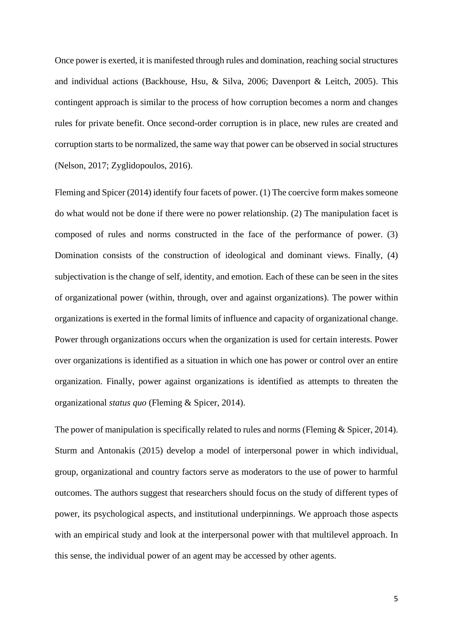Once power is exerted, it is manifested through rules and domination, reaching social structures and individual actions (Backhouse, Hsu, & Silva, 2006; Davenport & Leitch, 2005). This contingent approach is similar to the process of how corruption becomes a norm and changes rules for private benefit. Once second-order corruption is in place, new rules are created and corruption starts to be normalized, the same way that power can be observed in social structures (Nelson, 2017; Zyglidopoulos, 2016).

Fleming and Spicer (2014) identify four facets of power. (1) The coercive form makes someone do what would not be done if there were no power relationship. (2) The manipulation facet is composed of rules and norms constructed in the face of the performance of power. (3) Domination consists of the construction of ideological and dominant views. Finally, (4) subjectivation is the change of self, identity, and emotion. Each of these can be seen in the sites of organizational power (within, through, over and against organizations). The power within organizations is exerted in the formal limits of influence and capacity of organizational change. Power through organizations occurs when the organization is used for certain interests. Power over organizations is identified as a situation in which one has power or control over an entire organization. Finally, power against organizations is identified as attempts to threaten the organizational *status quo* (Fleming & Spicer, 2014).

The power of manipulation is specifically related to rules and norms (Fleming & Spicer, 2014). Sturm and Antonakis (2015) develop a model of interpersonal power in which individual, group, organizational and country factors serve as moderators to the use of power to harmful outcomes. The authors suggest that researchers should focus on the study of different types of power, its psychological aspects, and institutional underpinnings. We approach those aspects with an empirical study and look at the interpersonal power with that multilevel approach. In this sense, the individual power of an agent may be accessed by other agents.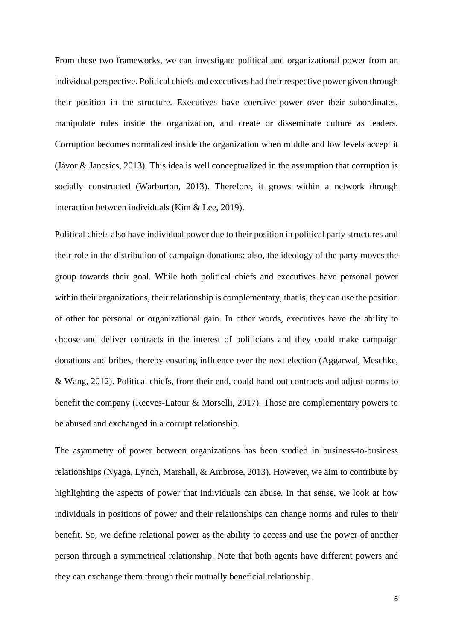From these two frameworks, we can investigate political and organizational power from an individual perspective. Political chiefs and executives had their respective power given through their position in the structure. Executives have coercive power over their subordinates, manipulate rules inside the organization, and create or disseminate culture as leaders. Corruption becomes normalized inside the organization when middle and low levels accept it (Jávor & Jancsics, 2013). This idea is well conceptualized in the assumption that corruption is socially constructed (Warburton, 2013). Therefore, it grows within a network through interaction between individuals (Kim & Lee, 2019).

Political chiefs also have individual power due to their position in political party structures and their role in the distribution of campaign donations; also, the ideology of the party moves the group towards their goal. While both political chiefs and executives have personal power within their organizations, their relationship is complementary, that is, they can use the position of other for personal or organizational gain. In other words, executives have the ability to choose and deliver contracts in the interest of politicians and they could make campaign donations and bribes, thereby ensuring influence over the next election (Aggarwal, Meschke, & Wang, 2012). Political chiefs, from their end, could hand out contracts and adjust norms to benefit the company (Reeves-Latour & Morselli, 2017). Those are complementary powers to be abused and exchanged in a corrupt relationship.

The asymmetry of power between organizations has been studied in business-to-business relationships (Nyaga, Lynch, Marshall, & Ambrose, 2013). However, we aim to contribute by highlighting the aspects of power that individuals can abuse. In that sense, we look at how individuals in positions of power and their relationships can change norms and rules to their benefit. So, we define relational power as the ability to access and use the power of another person through a symmetrical relationship. Note that both agents have different powers and they can exchange them through their mutually beneficial relationship.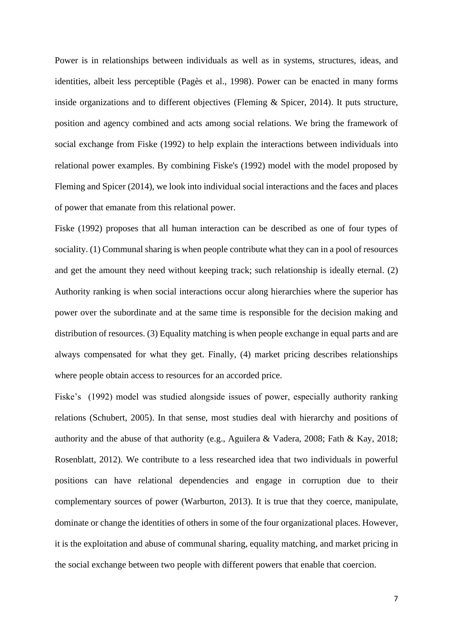Power is in relationships between individuals as well as in systems, structures, ideas, and identities, albeit less perceptible (Pagès et al., 1998). Power can be enacted in many forms inside organizations and to different objectives (Fleming  $\&$  Spicer, 2014). It puts structure, position and agency combined and acts among social relations. We bring the framework of social exchange from Fiske (1992) to help explain the interactions between individuals into relational power examples. By combining Fiske's (1992) model with the model proposed by Fleming and Spicer (2014), we look into individual social interactions and the faces and places of power that emanate from this relational power.

Fiske (1992) proposes that all human interaction can be described as one of four types of sociality. (1) Communal sharing is when people contribute what they can in a pool of resources and get the amount they need without keeping track; such relationship is ideally eternal. (2) Authority ranking is when social interactions occur along hierarchies where the superior has power over the subordinate and at the same time is responsible for the decision making and distribution of resources. (3) Equality matching is when people exchange in equal parts and are always compensated for what they get. Finally, (4) market pricing describes relationships where people obtain access to resources for an accorded price.

Fiske's (1992) model was studied alongside issues of power, especially authority ranking relations (Schubert, 2005). In that sense, most studies deal with hierarchy and positions of authority and the abuse of that authority (e.g., Aguilera & Vadera, 2008; Fath & Kay, 2018; Rosenblatt, 2012). We contribute to a less researched idea that two individuals in powerful positions can have relational dependencies and engage in corruption due to their complementary sources of power (Warburton, 2013). It is true that they coerce, manipulate, dominate or change the identities of others in some of the four organizational places. However, it is the exploitation and abuse of communal sharing, equality matching, and market pricing in the social exchange between two people with different powers that enable that coercion.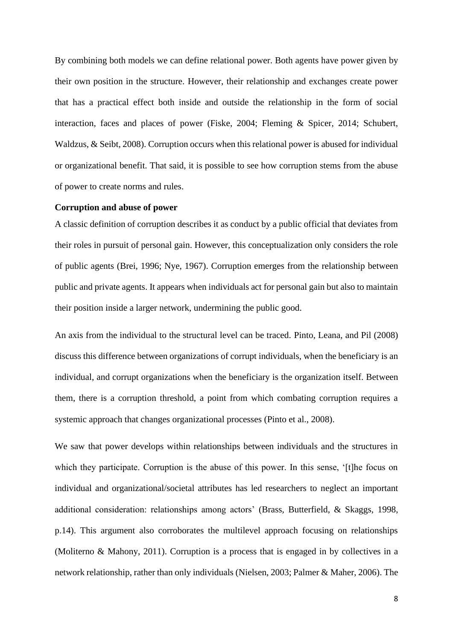By combining both models we can define relational power. Both agents have power given by their own position in the structure. However, their relationship and exchanges create power that has a practical effect both inside and outside the relationship in the form of social interaction, faces and places of power (Fiske, 2004; Fleming & Spicer, 2014; Schubert, Waldzus, & Seibt, 2008). Corruption occurs when this relational power is abused for individual or organizational benefit. That said, it is possible to see how corruption stems from the abuse of power to create norms and rules.

#### **Corruption and abuse of power**

A classic definition of corruption describes it as conduct by a public official that deviates from their roles in pursuit of personal gain. However, this conceptualization only considers the role of public agents (Brei, 1996; Nye, 1967). Corruption emerges from the relationship between public and private agents. It appears when individuals act for personal gain but also to maintain their position inside a larger network, undermining the public good.

An axis from the individual to the structural level can be traced. Pinto, Leana, and Pil (2008) discuss this difference between organizations of corrupt individuals, when the beneficiary is an individual, and corrupt organizations when the beneficiary is the organization itself. Between them, there is a corruption threshold, a point from which combating corruption requires a systemic approach that changes organizational processes (Pinto et al., 2008).

We saw that power develops within relationships between individuals and the structures in which they participate. Corruption is the abuse of this power. In this sense, '[t]he focus on individual and organizational/societal attributes has led researchers to neglect an important additional consideration: relationships among actors' (Brass, Butterfield, & Skaggs, 1998, p.14). This argument also corroborates the multilevel approach focusing on relationships (Moliterno & Mahony, 2011). Corruption is a process that is engaged in by collectives in a network relationship, rather than only individuals (Nielsen, 2003; Palmer & Maher, 2006). The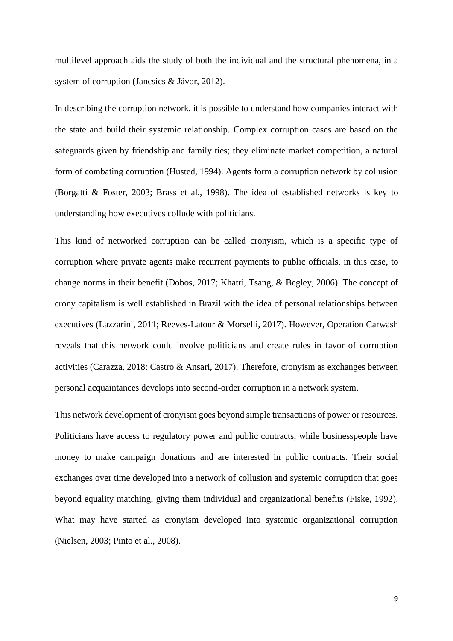multilevel approach aids the study of both the individual and the structural phenomena, in a system of corruption (Jancsics & Jávor, 2012).

In describing the corruption network, it is possible to understand how companies interact with the state and build their systemic relationship. Complex corruption cases are based on the safeguards given by friendship and family ties; they eliminate market competition, a natural form of combating corruption (Husted, 1994). Agents form a corruption network by collusion (Borgatti & Foster, 2003; Brass et al., 1998). The idea of established networks is key to understanding how executives collude with politicians.

This kind of networked corruption can be called cronyism, which is a specific type of corruption where private agents make recurrent payments to public officials, in this case, to change norms in their benefit (Dobos, 2017; Khatri, Tsang, & Begley, 2006). The concept of crony capitalism is well established in Brazil with the idea of personal relationships between executives (Lazzarini, 2011; Reeves-Latour & Morselli, 2017). However, Operation Carwash reveals that this network could involve politicians and create rules in favor of corruption activities (Carazza, 2018; Castro & Ansari, 2017). Therefore, cronyism as exchanges between personal acquaintances develops into second-order corruption in a network system.

This network development of cronyism goes beyond simple transactions of power or resources. Politicians have access to regulatory power and public contracts, while businesspeople have money to make campaign donations and are interested in public contracts. Their social exchanges over time developed into a network of collusion and systemic corruption that goes beyond equality matching, giving them individual and organizational benefits (Fiske, 1992). What may have started as cronyism developed into systemic organizational corruption (Nielsen, 2003; Pinto et al., 2008).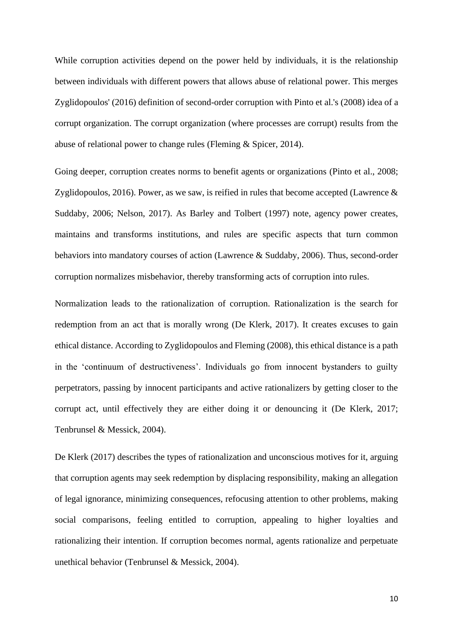While corruption activities depend on the power held by individuals, it is the relationship between individuals with different powers that allows abuse of relational power. This merges Zyglidopoulos' (2016) definition of second-order corruption with Pinto et al.'s (2008) idea of a corrupt organization. The corrupt organization (where processes are corrupt) results from the abuse of relational power to change rules (Fleming & Spicer, 2014).

Going deeper, corruption creates norms to benefit agents or organizations (Pinto et al., 2008; Zyglidopoulos, 2016). Power, as we saw, is reified in rules that become accepted (Lawrence & Suddaby, 2006; Nelson, 2017). As Barley and Tolbert (1997) note, agency power creates, maintains and transforms institutions, and rules are specific aspects that turn common behaviors into mandatory courses of action (Lawrence & Suddaby, 2006). Thus, second-order corruption normalizes misbehavior, thereby transforming acts of corruption into rules.

Normalization leads to the rationalization of corruption. Rationalization is the search for redemption from an act that is morally wrong (De Klerk, 2017). It creates excuses to gain ethical distance. According to Zyglidopoulos and Fleming (2008), this ethical distance is a path in the 'continuum of destructiveness'. Individuals go from innocent bystanders to guilty perpetrators, passing by innocent participants and active rationalizers by getting closer to the corrupt act, until effectively they are either doing it or denouncing it (De Klerk, 2017; Tenbrunsel & Messick, 2004).

De Klerk (2017) describes the types of rationalization and unconscious motives for it, arguing that corruption agents may seek redemption by displacing responsibility, making an allegation of legal ignorance, minimizing consequences, refocusing attention to other problems, making social comparisons, feeling entitled to corruption, appealing to higher loyalties and rationalizing their intention. If corruption becomes normal, agents rationalize and perpetuate unethical behavior (Tenbrunsel & Messick, 2004).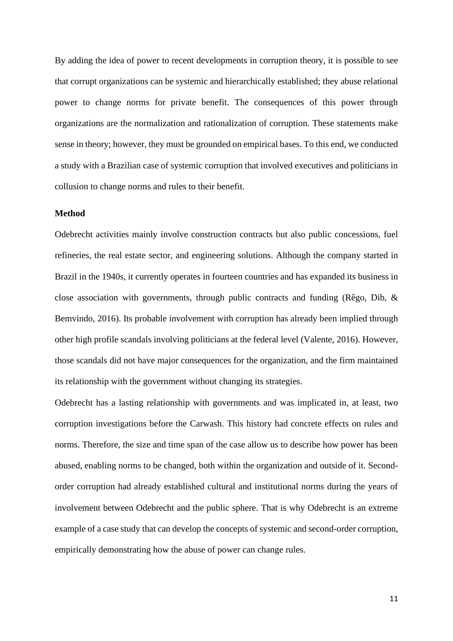By adding the idea of power to recent developments in corruption theory, it is possible to see that corrupt organizations can be systemic and hierarchically established; they abuse relational power to change norms for private benefit. The consequences of this power through organizations are the normalization and rationalization of corruption. These statements make sense in theory; however, they must be grounded on empirical bases. To this end, we conducted a study with a Brazilian case of systemic corruption that involved executives and politicians in collusion to change norms and rules to their benefit.

#### **Method**

Odebrecht activities mainly involve construction contracts but also public concessions, fuel refineries, the real estate sector, and engineering solutions. Although the company started in Brazil in the 1940s, it currently operates in fourteen countries and has expanded its business in close association with governments, through public contracts and funding (Rêgo, Dib, & Bemvindo, 2016). Its probable involvement with corruption has already been implied through other high profile scandals involving politicians at the federal level (Valente, 2016). However, those scandals did not have major consequences for the organization, and the firm maintained its relationship with the government without changing its strategies.

Odebrecht has a lasting relationship with governments and was implicated in, at least, two corruption investigations before the Carwash. This history had concrete effects on rules and norms. Therefore, the size and time span of the case allow us to describe how power has been abused, enabling norms to be changed, both within the organization and outside of it. Secondorder corruption had already established cultural and institutional norms during the years of involvement between Odebrecht and the public sphere. That is why Odebrecht is an extreme example of a case study that can develop the concepts of systemic and second-order corruption, empirically demonstrating how the abuse of power can change rules.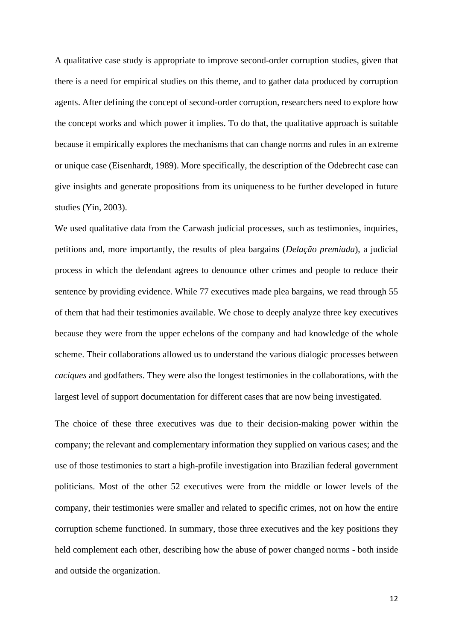A qualitative case study is appropriate to improve second-order corruption studies, given that there is a need for empirical studies on this theme, and to gather data produced by corruption agents. After defining the concept of second-order corruption, researchers need to explore how the concept works and which power it implies. To do that, the qualitative approach is suitable because it empirically explores the mechanisms that can change norms and rules in an extreme or unique case (Eisenhardt, 1989). More specifically, the description of the Odebrecht case can give insights and generate propositions from its uniqueness to be further developed in future studies (Yin, 2003).

We used qualitative data from the Carwash judicial processes, such as testimonies, inquiries, petitions and, more importantly, the results of plea bargains (*Delação premiada*), a judicial process in which the defendant agrees to denounce other crimes and people to reduce their sentence by providing evidence. While 77 executives made plea bargains, we read through 55 of them that had their testimonies available. We chose to deeply analyze three key executives because they were from the upper echelons of the company and had knowledge of the whole scheme. Their collaborations allowed us to understand the various dialogic processes between *caciques* and godfathers. They were also the longest testimonies in the collaborations, with the largest level of support documentation for different cases that are now being investigated.

The choice of these three executives was due to their decision-making power within the company; the relevant and complementary information they supplied on various cases; and the use of those testimonies to start a high-profile investigation into Brazilian federal government politicians. Most of the other 52 executives were from the middle or lower levels of the company, their testimonies were smaller and related to specific crimes, not on how the entire corruption scheme functioned. In summary, those three executives and the key positions they held complement each other, describing how the abuse of power changed norms - both inside and outside the organization.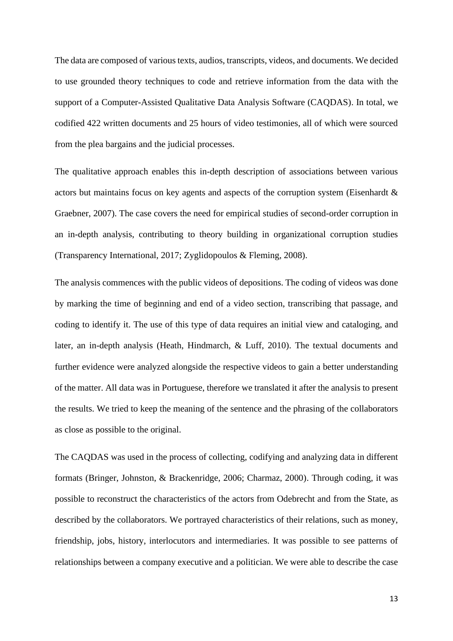The data are composed of various texts, audios, transcripts, videos, and documents. We decided to use grounded theory techniques to code and retrieve information from the data with the support of a Computer-Assisted Qualitative Data Analysis Software (CAQDAS). In total, we codified 422 written documents and 25 hours of video testimonies, all of which were sourced from the plea bargains and the judicial processes.

The qualitative approach enables this in-depth description of associations between various actors but maintains focus on key agents and aspects of the corruption system (Eisenhardt & Graebner, 2007). The case covers the need for empirical studies of second-order corruption in an in-depth analysis, contributing to theory building in organizational corruption studies (Transparency International, 2017; Zyglidopoulos & Fleming, 2008).

The analysis commences with the public videos of depositions. The coding of videos was done by marking the time of beginning and end of a video section, transcribing that passage, and coding to identify it. The use of this type of data requires an initial view and cataloging, and later, an in-depth analysis (Heath, Hindmarch, & Luff, 2010). The textual documents and further evidence were analyzed alongside the respective videos to gain a better understanding of the matter. All data was in Portuguese, therefore we translated it after the analysis to present the results. We tried to keep the meaning of the sentence and the phrasing of the collaborators as close as possible to the original.

The CAQDAS was used in the process of collecting, codifying and analyzing data in different formats (Bringer, Johnston, & Brackenridge, 2006; Charmaz, 2000). Through coding, it was possible to reconstruct the characteristics of the actors from Odebrecht and from the State, as described by the collaborators. We portrayed characteristics of their relations, such as money, friendship, jobs, history, interlocutors and intermediaries. It was possible to see patterns of relationships between a company executive and a politician. We were able to describe the case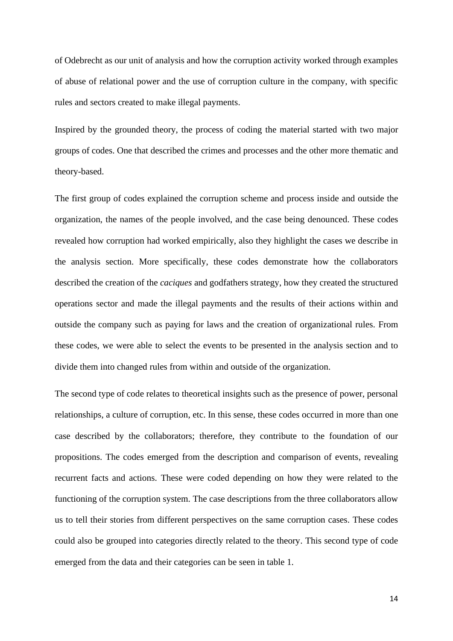of Odebrecht as our unit of analysis and how the corruption activity worked through examples of abuse of relational power and the use of corruption culture in the company, with specific rules and sectors created to make illegal payments.

Inspired by the grounded theory, the process of coding the material started with two major groups of codes. One that described the crimes and processes and the other more thematic and theory-based.

The first group of codes explained the corruption scheme and process inside and outside the organization, the names of the people involved, and the case being denounced. These codes revealed how corruption had worked empirically, also they highlight the cases we describe in the analysis section. More specifically, these codes demonstrate how the collaborators described the creation of the *caciques* and godfathers strategy, how they created the structured operations sector and made the illegal payments and the results of their actions within and outside the company such as paying for laws and the creation of organizational rules. From these codes, we were able to select the events to be presented in the analysis section and to divide them into changed rules from within and outside of the organization.

The second type of code relates to theoretical insights such as the presence of power, personal relationships, a culture of corruption, etc. In this sense, these codes occurred in more than one case described by the collaborators; therefore, they contribute to the foundation of our propositions. The codes emerged from the description and comparison of events, revealing recurrent facts and actions. These were coded depending on how they were related to the functioning of the corruption system. The case descriptions from the three collaborators allow us to tell their stories from different perspectives on the same corruption cases. These codes could also be grouped into categories directly related to the theory. This second type of code emerged from the data and their categories can be seen in table 1.

14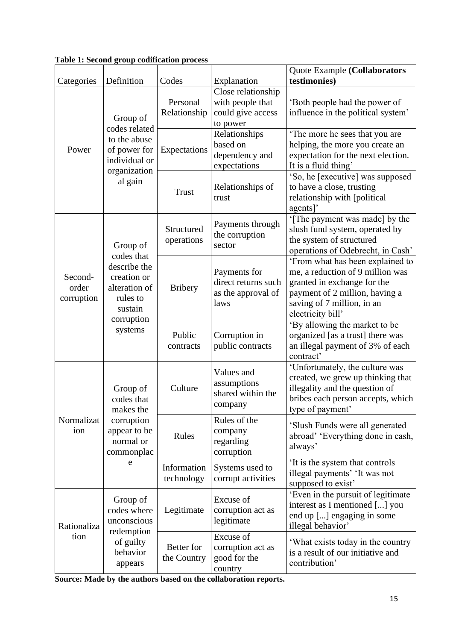| Categories                     | Definition                                                                                                             | Codes                     | Explanation                                                             | Quote Example (Collaborators<br>testimonies)                                                                                                                                             |
|--------------------------------|------------------------------------------------------------------------------------------------------------------------|---------------------------|-------------------------------------------------------------------------|------------------------------------------------------------------------------------------------------------------------------------------------------------------------------------------|
| Power                          | Group of<br>codes related<br>to the abuse<br>of power for<br>individual or<br>organization<br>al gain                  | Personal<br>Relationship  | Close relationship<br>with people that<br>could give access<br>to power | 'Both people had the power of<br>influence in the political system'                                                                                                                      |
|                                |                                                                                                                        | Expectations              | Relationships<br>based on<br>dependency and<br>expectations             | 'The more he sees that you are<br>helping, the more you create an<br>expectation for the next election.<br>It is a fluid thing'                                                          |
|                                |                                                                                                                        | Trust                     | Relationships of<br>trust                                               | 'So, he [executive] was supposed<br>to have a close, trusting<br>relationship with [political<br>agents]'                                                                                |
| Second-<br>order<br>corruption | Group of<br>codes that<br>describe the<br>creation or<br>alteration of<br>rules to<br>sustain<br>corruption<br>systems | Structured<br>operations  | Payments through<br>the corruption<br>sector                            | '[The payment was made] by the<br>slush fund system, operated by<br>the system of structured<br>operations of Odebrecht, in Cash'                                                        |
|                                |                                                                                                                        | <b>Bribery</b>            | Payments for<br>direct returns such<br>as the approval of<br>laws       | 'From what has been explained to<br>me, a reduction of 9 million was<br>granted in exchange for the<br>payment of 2 million, having a<br>saving of 7 million, in an<br>electricity bill' |
|                                |                                                                                                                        | Public<br>contracts       | Corruption in<br>public contracts                                       | 'By allowing the market to be<br>organized [as a trust] there was<br>an illegal payment of 3% of each<br>contract'                                                                       |
| Normalizat<br>ion              | Group of<br>codes that<br>makes the<br>corruption<br>appear to be<br>normal or<br>commonplac<br>e                      | Culture                   | Values and<br>assumptions<br>shared within the<br>company               | 'Unfortunately, the culture was<br>created, we grew up thinking that<br>illegality and the question of<br>bribes each person accepts, which<br>type of payment'                          |
|                                |                                                                                                                        | Rules                     | Rules of the<br>company<br>regarding<br>corruption                      | 'Slush Funds were all generated<br>abroad' 'Everything done in cash,<br>always'                                                                                                          |
|                                |                                                                                                                        | Information<br>technology | Systems used to<br>corrupt activities                                   | It is the system that controls<br>illegal payments' 'It was not<br>supposed to exist'                                                                                                    |
| Rationaliza<br>tion            | Group of<br>codes where<br>unconscious<br>redemption<br>of guilty<br>behavior<br>appears                               | Legitimate                | Excuse of<br>corruption act as<br>legitimate                            | 'Even in the pursuit of legitimate<br>interest as I mentioned [] you<br>end up [] engaging in some<br>illegal behavior'                                                                  |
|                                |                                                                                                                        | Better for<br>the Country | Excuse of<br>corruption act as<br>good for the<br>country               | 'What exists today in the country<br>is a result of our initiative and<br>contribution'                                                                                                  |

**Table 1: Second group codification process**

**Source: Made by the authors based on the collaboration reports.**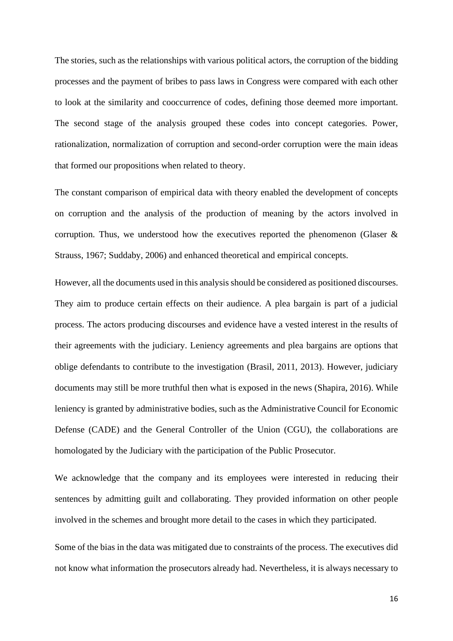The stories, such as the relationships with various political actors, the corruption of the bidding processes and the payment of bribes to pass laws in Congress were compared with each other to look at the similarity and cooccurrence of codes, defining those deemed more important. The second stage of the analysis grouped these codes into concept categories. Power, rationalization, normalization of corruption and second-order corruption were the main ideas that formed our propositions when related to theory.

The constant comparison of empirical data with theory enabled the development of concepts on corruption and the analysis of the production of meaning by the actors involved in corruption. Thus, we understood how the executives reported the phenomenon (Glaser  $\&$ Strauss, 1967; Suddaby, 2006) and enhanced theoretical and empirical concepts.

However, all the documents used in this analysis should be considered as positioned discourses. They aim to produce certain effects on their audience. A plea bargain is part of a judicial process. The actors producing discourses and evidence have a vested interest in the results of their agreements with the judiciary. Leniency agreements and plea bargains are options that oblige defendants to contribute to the investigation (Brasil, 2011, 2013). However, judiciary documents may still be more truthful then what is exposed in the news (Shapira, 2016). While leniency is granted by administrative bodies, such as the Administrative Council for Economic Defense (CADE) and the General Controller of the Union (CGU), the collaborations are homologated by the Judiciary with the participation of the Public Prosecutor.

We acknowledge that the company and its employees were interested in reducing their sentences by admitting guilt and collaborating. They provided information on other people involved in the schemes and brought more detail to the cases in which they participated.

Some of the bias in the data was mitigated due to constraints of the process. The executives did not know what information the prosecutors already had. Nevertheless, it is always necessary to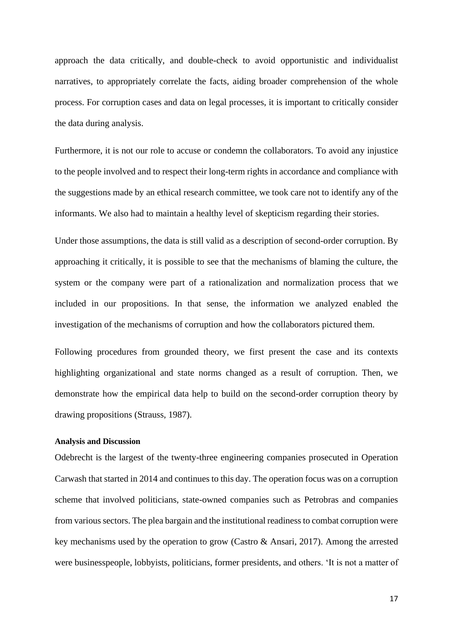approach the data critically, and double-check to avoid opportunistic and individualist narratives, to appropriately correlate the facts, aiding broader comprehension of the whole process. For corruption cases and data on legal processes, it is important to critically consider the data during analysis.

Furthermore, it is not our role to accuse or condemn the collaborators. To avoid any injustice to the people involved and to respect their long-term rights in accordance and compliance with the suggestions made by an ethical research committee, we took care not to identify any of the informants. We also had to maintain a healthy level of skepticism regarding their stories.

Under those assumptions, the data is still valid as a description of second-order corruption. By approaching it critically, it is possible to see that the mechanisms of blaming the culture, the system or the company were part of a rationalization and normalization process that we included in our propositions. In that sense, the information we analyzed enabled the investigation of the mechanisms of corruption and how the collaborators pictured them.

Following procedures from grounded theory, we first present the case and its contexts highlighting organizational and state norms changed as a result of corruption. Then, we demonstrate how the empirical data help to build on the second-order corruption theory by drawing propositions (Strauss, 1987).

### **Analysis and Discussion**

Odebrecht is the largest of the twenty-three engineering companies prosecuted in Operation Carwash that started in 2014 and continues to this day. The operation focus was on a corruption scheme that involved politicians, state-owned companies such as Petrobras and companies from various sectors. The plea bargain and the institutional readiness to combat corruption were key mechanisms used by the operation to grow (Castro & Ansari, 2017). Among the arrested were businesspeople, lobbyists, politicians, former presidents, and others. 'It is not a matter of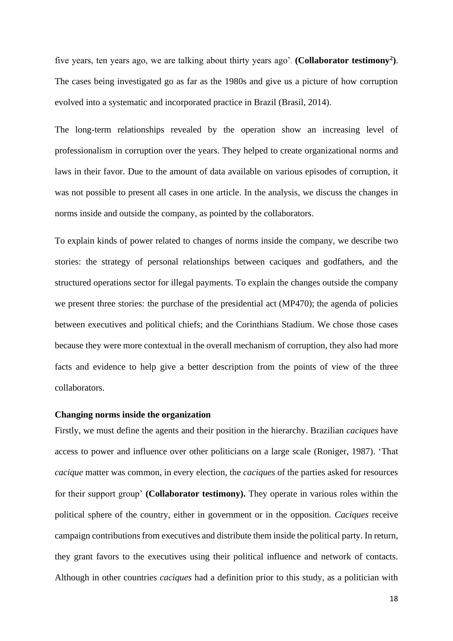five years, ten years ago, we are talking about thirty years ago'. **(Collaborator testimony<sup>2</sup> )**. The cases being investigated go as far as the 1980s and give us a picture of how corruption evolved into a systematic and incorporated practice in Brazil (Brasil, 2014).

The long-term relationships revealed by the operation show an increasing level of professionalism in corruption over the years. They helped to create organizational norms and laws in their favor. Due to the amount of data available on various episodes of corruption, it was not possible to present all cases in one article. In the analysis, we discuss the changes in norms inside and outside the company, as pointed by the collaborators.

To explain kinds of power related to changes of norms inside the company, we describe two stories: the strategy of personal relationships between caciques and godfathers, and the structured operations sector for illegal payments. To explain the changes outside the company we present three stories: the purchase of the presidential act (MP470); the agenda of policies between executives and political chiefs; and the Corinthians Stadium. We chose those cases because they were more contextual in the overall mechanism of corruption, they also had more facts and evidence to help give a better description from the points of view of the three collaborators.

### **Changing norms inside the organization**

Firstly, we must define the agents and their position in the hierarchy. Brazilian *caciques* have access to power and influence over other politicians on a large scale (Roniger, 1987). 'That *cacique* matter was common, in every election, the *caciques* of the parties asked for resources for their support group' **(Collaborator testimony).** They operate in various roles within the political sphere of the country, either in government or in the opposition. *Caciques* receive campaign contributions from executives and distribute them inside the political party. In return, they grant favors to the executives using their political influence and network of contacts. Although in other countries *caciques* had a definition prior to this study, as a politician with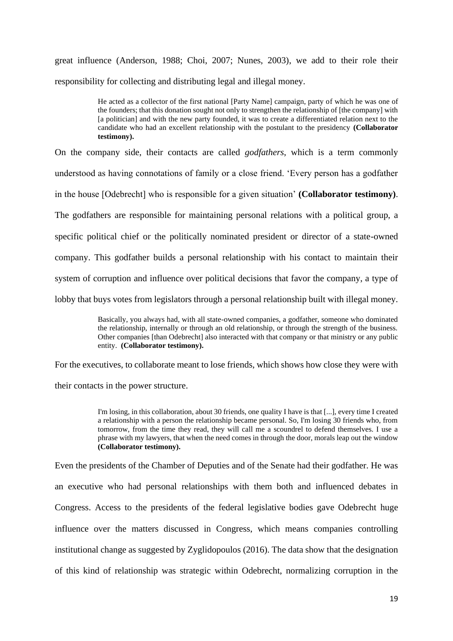great influence (Anderson, 1988; Choi, 2007; Nunes, 2003), we add to their role their responsibility for collecting and distributing legal and illegal money.

> He acted as a collector of the first national [Party Name] campaign, party of which he was one of the founders; that this donation sought not only to strengthen the relationship of [the company] with [a politician] and with the new party founded, it was to create a differentiated relation next to the candidate who had an excellent relationship with the postulant to the presidency **(Collaborator testimony).**

On the company side, their contacts are called *godfathers*, which is a term commonly understood as having connotations of family or a close friend. 'Every person has a godfather in the house [Odebrecht] who is responsible for a given situation' **(Collaborator testimony)**. The godfathers are responsible for maintaining personal relations with a political group, a specific political chief or the politically nominated president or director of a state-owned company. This godfather builds a personal relationship with his contact to maintain their system of corruption and influence over political decisions that favor the company, a type of lobby that buys votes from legislators through a personal relationship built with illegal money.

> Basically, you always had, with all state-owned companies, a godfather, someone who dominated the relationship, internally or through an old relationship, or through the strength of the business. Other companies [than Odebrecht] also interacted with that company or that ministry or any public entity. **(Collaborator testimony).**

For the executives, to collaborate meant to lose friends, which shows how close they were with their contacts in the power structure.

> I'm losing, in this collaboration, about 30 friends, one quality I have is that [...], every time I created a relationship with a person the relationship became personal. So, I'm losing 30 friends who, from tomorrow, from the time they read, they will call me a scoundrel to defend themselves. I use a phrase with my lawyers, that when the need comes in through the door, morals leap out the window **(Collaborator testimony).**

Even the presidents of the Chamber of Deputies and of the Senate had their godfather. He was an executive who had personal relationships with them both and influenced debates in Congress. Access to the presidents of the federal legislative bodies gave Odebrecht huge influence over the matters discussed in Congress, which means companies controlling institutional change as suggested by Zyglidopoulos (2016). The data show that the designation of this kind of relationship was strategic within Odebrecht, normalizing corruption in the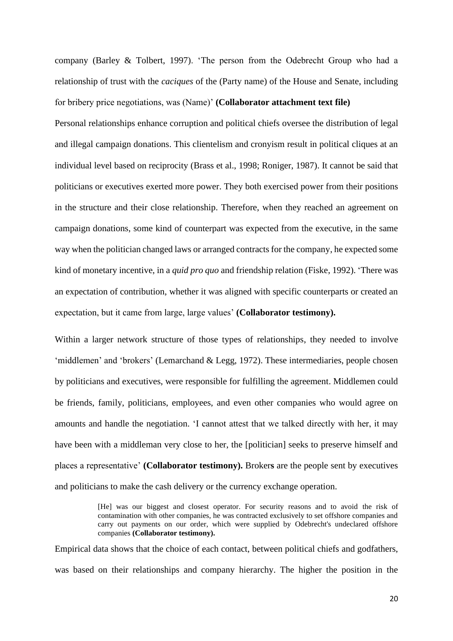company (Barley & Tolbert, 1997). 'The person from the Odebrecht Group who had a relationship of trust with the *caciques* of the (Party name) of the House and Senate, including for bribery price negotiations, was (Name)' **(Collaborator attachment text file)**

Personal relationships enhance corruption and political chiefs oversee the distribution of legal and illegal campaign donations. This clientelism and cronyism result in political cliques at an individual level based on reciprocity (Brass et al., 1998; Roniger, 1987). It cannot be said that politicians or executives exerted more power. They both exercised power from their positions in the structure and their close relationship. Therefore, when they reached an agreement on campaign donations, some kind of counterpart was expected from the executive, in the same way when the politician changed laws or arranged contracts for the company, he expected some kind of monetary incentive, in a *quid pro quo* and friendship relation (Fiske, 1992). 'There was an expectation of contribution, whether it was aligned with specific counterparts or created an expectation, but it came from large, large values' **(Collaborator testimony).**

Within a larger network structure of those types of relationships, they needed to involve 'middlemen' and 'brokers' (Lemarchand & Legg, 1972). These intermediaries, people chosen by politicians and executives, were responsible for fulfilling the agreement. Middlemen could be friends, family, politicians, employees, and even other companies who would agree on amounts and handle the negotiation. 'I cannot attest that we talked directly with her, it may have been with a middleman very close to her, the [politician] seeks to preserve himself and places a representative' **(Collaborator testimony).** Broker**s** are the people sent by executives and politicians to make the cash delivery or the currency exchange operation.

> [He] was our biggest and closest operator. For security reasons and to avoid the risk of contamination with other companies, he was contracted exclusively to set offshore companies and carry out payments on our order, which were supplied by Odebrecht's undeclared offshore companies **(Collaborator testimony).**

Empirical data shows that the choice of each contact, between political chiefs and godfathers, was based on their relationships and company hierarchy. The higher the position in the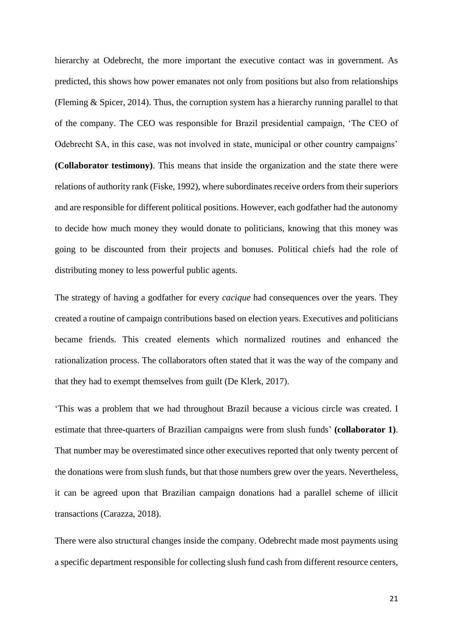hierarchy at Odebrecht, the more important the executive contact was in government. As predicted, this shows how power emanates not only from positions but also from relationships (Fleming & Spicer, 2014). Thus, the corruption system has a hierarchy running parallel to that of the company. The CEO was responsible for Brazil presidential campaign, 'The CEO of Odebrecht SA, in this case, was not involved in state, municipal or other country campaigns' **(Collaborator testimony)**. This means that inside the organization and the state there were relations of authority rank (Fiske, 1992), where subordinates receive orders from their superiors and are responsible for different political positions. However, each godfather had the autonomy to decide how much money they would donate to politicians, knowing that this money was going to be discounted from their projects and bonuses. Political chiefs had the role of distributing money to less powerful public agents.

The strategy of having a godfather for every *cacique* had consequences over the years. They created a routine of campaign contributions based on election years. Executives and politicians became friends. This created elements which normalized routines and enhanced the rationalization process. The collaborators often stated that it was the way of the company and that they had to exempt themselves from guilt (De Klerk, 2017).

'This was a problem that we had throughout Brazil because a vicious circle was created. I estimate that three-quarters of Brazilian campaigns were from slush funds' **(collaborator 1)**. That number may be overestimated since other executives reported that only twenty percent of the donations were from slush funds, but that those numbers grew over the years. Nevertheless, it can be agreed upon that Brazilian campaign donations had a parallel scheme of illicit transactions (Carazza, 2018).

There were also structural changes inside the company. Odebrecht made most payments using a specific department responsible for collecting slush fund cash from different resource centers,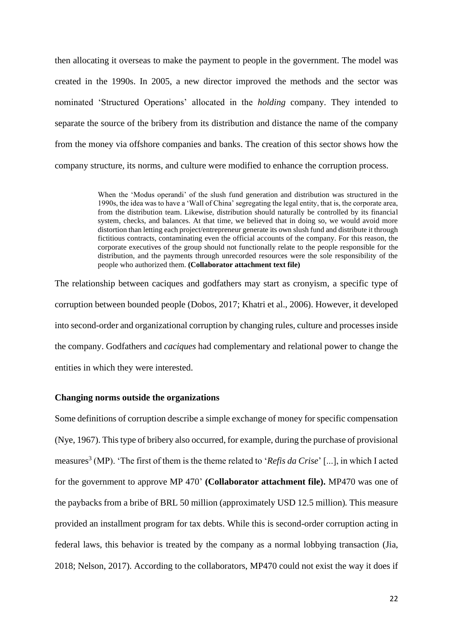then allocating it overseas to make the payment to people in the government. The model was created in the 1990s. In 2005, a new director improved the methods and the sector was nominated 'Structured Operations' allocated in the *holding* company. They intended to separate the source of the bribery from its distribution and distance the name of the company from the money via offshore companies and banks. The creation of this sector shows how the company structure, its norms, and culture were modified to enhance the corruption process.

> When the 'Modus operandi' of the slush fund generation and distribution was structured in the 1990s, the idea was to have a 'Wall of China' segregating the legal entity, that is, the corporate area, from the distribution team. Likewise, distribution should naturally be controlled by its financial system, checks, and balances. At that time, we believed that in doing so, we would avoid more distortion than letting each project/entrepreneur generate its own slush fund and distribute it through fictitious contracts, contaminating even the official accounts of the company. For this reason, the corporate executives of the group should not functionally relate to the people responsible for the distribution, and the payments through unrecorded resources were the sole responsibility of the people who authorized them. **(Collaborator attachment text file)**

The relationship between caciques and godfathers may start as cronyism, a specific type of corruption between bounded people (Dobos, 2017; Khatri et al., 2006). However, it developed into second-order and organizational corruption by changing rules, culture and processes inside the company. Godfathers and *caciques* had complementary and relational power to change the entities in which they were interested.

## **Changing norms outside the organizations**

Some definitions of corruption describe a simple exchange of money for specific compensation (Nye, 1967). This type of bribery also occurred, for example, during the purchase of provisional measures<sup>3</sup> (MP). 'The first of them is the theme related to '*Refis da Crise*' [...], in which I acted for the government to approve MP 470' **(Collaborator attachment file).** MP470 was one of the paybacks from a bribe of BRL 50 million (approximately USD 12.5 million)*.* This measure provided an installment program for tax debts. While this is second-order corruption acting in federal laws, this behavior is treated by the company as a normal lobbying transaction (Jia, 2018; Nelson, 2017). According to the collaborators, MP470 could not exist the way it does if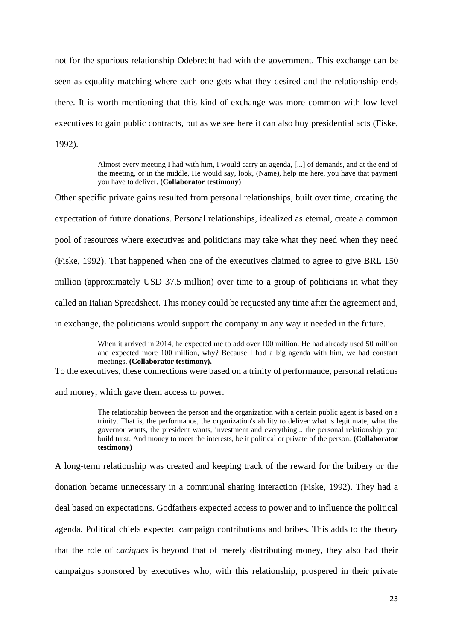not for the spurious relationship Odebrecht had with the government. This exchange can be seen as equality matching where each one gets what they desired and the relationship ends there. It is worth mentioning that this kind of exchange was more common with low-level executives to gain public contracts, but as we see here it can also buy presidential acts (Fiske, 1992).

> Almost every meeting I had with him, I would carry an agenda, [...] of demands, and at the end of the meeting, or in the middle, He would say, look, (Name), help me here, you have that payment you have to deliver. **(Collaborator testimony)**

Other specific private gains resulted from personal relationships, built over time, creating the expectation of future donations. Personal relationships, idealized as eternal, create a common pool of resources where executives and politicians may take what they need when they need (Fiske, 1992). That happened when one of the executives claimed to agree to give BRL 150 million (approximately USD 37.5 million) over time to a group of politicians in what they called an Italian Spreadsheet. This money could be requested any time after the agreement and, in exchange, the politicians would support the company in any way it needed in the future.

> When it arrived in 2014, he expected me to add over 100 million. He had already used 50 million and expected more 100 million, why? Because I had a big agenda with him, we had constant meetings. **(Collaborator testimony).**

To the executives, these connections were based on a trinity of performance, personal relations

and money, which gave them access to power.

The relationship between the person and the organization with a certain public agent is based on a trinity. That is, the performance, the organization's ability to deliver what is legitimate, what the governor wants, the president wants, investment and everything... the personal relationship, you build trust. And money to meet the interests, be it political or private of the person. **(Collaborator testimony)**

A long-term relationship was created and keeping track of the reward for the bribery or the donation became unnecessary in a communal sharing interaction (Fiske, 1992). They had a deal based on expectations. Godfathers expected access to power and to influence the political agenda. Political chiefs expected campaign contributions and bribes. This adds to the theory that the role of *caciques* is beyond that of merely distributing money, they also had their campaigns sponsored by executives who, with this relationship, prospered in their private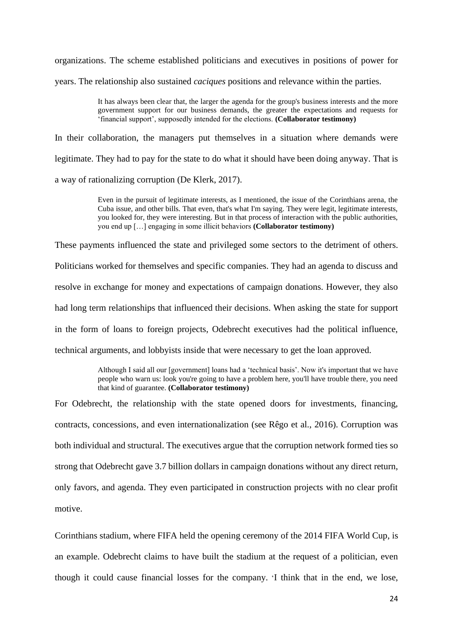organizations. The scheme established politicians and executives in positions of power for

years. The relationship also sustained *caciques* positions and relevance within the parties.

It has always been clear that, the larger the agenda for the group's business interests and the more government support for our business demands, the greater the expectations and requests for 'financial support', supposedly intended for the elections. **(Collaborator testimony)**

In their collaboration, the managers put themselves in a situation where demands were legitimate. They had to pay for the state to do what it should have been doing anyway. That is a way of rationalizing corruption (De Klerk, 2017).

> Even in the pursuit of legitimate interests, as I mentioned, the issue of the Corinthians arena, the Cuba issue, and other bills. That even, that's what I'm saying. They were legit, legitimate interests, you looked for, they were interesting. But in that process of interaction with the public authorities, you end up […] engaging in some illicit behaviors **(Collaborator testimony)**

These payments influenced the state and privileged some sectors to the detriment of others.

Politicians worked for themselves and specific companies. They had an agenda to discuss and resolve in exchange for money and expectations of campaign donations. However, they also

had long term relationships that influenced their decisions. When asking the state for support

in the form of loans to foreign projects, Odebrecht executives had the political influence,

technical arguments, and lobbyists inside that were necessary to get the loan approved.

Although I said all our [government] loans had a 'technical basis'. Now it's important that we have people who warn us: look you're going to have a problem here, you'll have trouble there, you need that kind of guarantee. **(Collaborator testimony)**

For Odebrecht, the relationship with the state opened doors for investments, financing, contracts, concessions, and even internationalization (see Rêgo et al., 2016). Corruption was both individual and structural. The executives argue that the corruption network formed ties so strong that Odebrecht gave 3.7 billion dollars in campaign donations without any direct return, only favors, and agenda. They even participated in construction projects with no clear profit motive.

Corinthians stadium, where FIFA held the opening ceremony of the 2014 FIFA World Cup, is an example. Odebrecht claims to have built the stadium at the request of a politician, even though it could cause financial losses for the company. 'I think that in the end, we lose,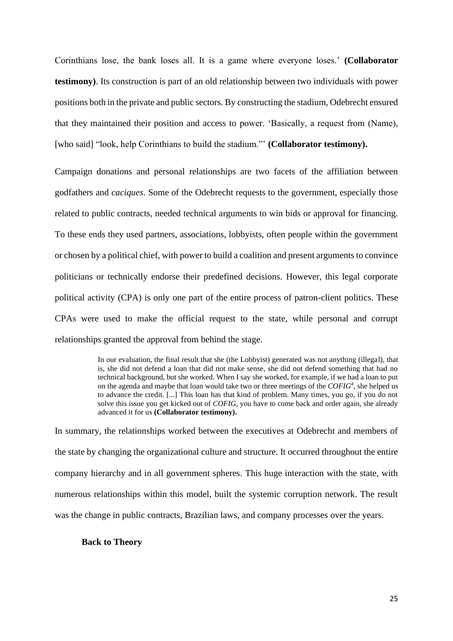Corinthians lose, the bank loses all. It is a game where everyone loses.' **(Collaborator testimony)**. Its construction is part of an old relationship between two individuals with power positions both in the private and public sectors. By constructing the stadium, Odebrecht ensured that they maintained their position and access to power. 'Basically, a request from (Name), [who said] "look, help Corinthians to build the stadium."' **(Collaborator testimony).**

Campaign donations and personal relationships are two facets of the affiliation between godfathers and *caciques*. Some of the Odebrecht requests to the government, especially those related to public contracts, needed technical arguments to win bids or approval for financing. To these ends they used partners, associations, lobbyists, often people within the government or chosen by a political chief, with power to build a coalition and present arguments to convince politicians or technically endorse their predefined decisions. However, this legal corporate political activity (CPA) is only one part of the entire process of patron-client politics. These CPAs were used to make the official request to the state, while personal and corrupt relationships granted the approval from behind the stage.

> In our evaluation, the final result that she (the Lobbyist) generated was not anything (illegal), that is, she did not defend a loan that did not make sense, she did not defend something that had no technical background, but she worked. When I say she worked, for example, if we had a loan to put on the agenda and maybe that loan would take two or three meetings of the *COFIG<sup>4</sup>*, she helped us to advance the credit. [...] This loan has that kind of problem. Many times, you go, if you do not solve this issue you get kicked out of *COFIG*, you have to come back and order again, she already advanced it for us **(Collaborator testimony).**

In summary, the relationships worked between the executives at Odebrecht and members of the state by changing the organizational culture and structure. It occurred throughout the entire company hierarchy and in all government spheres. This huge interaction with the state, with numerous relationships within this model, built the systemic corruption network. The result was the change in public contracts, Brazilian laws, and company processes over the years.

#### **Back to Theory**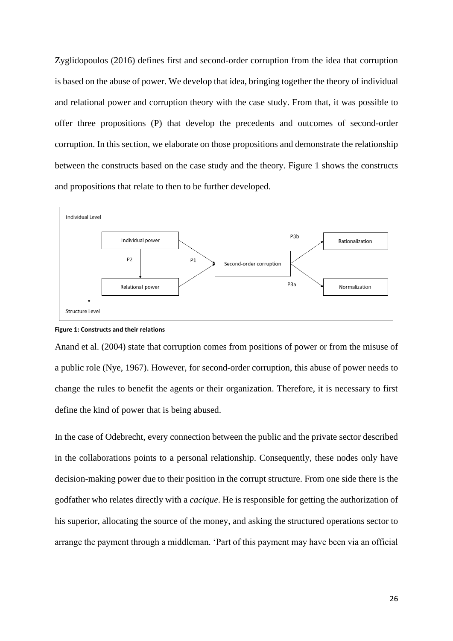Zyglidopoulos (2016) defines first and second-order corruption from the idea that corruption is based on the abuse of power. We develop that idea, bringing together the theory of individual and relational power and corruption theory with the case study. From that, it was possible to offer three propositions (P) that develop the precedents and outcomes of second-order corruption. In this section, we elaborate on those propositions and demonstrate the relationship between the constructs based on the case study and the theory. Figure 1 shows the constructs and propositions that relate to then to be further developed.



**Figure 1: Constructs and their relations**

Anand et al. (2004) state that corruption comes from positions of power or from the misuse of a public role (Nye, 1967). However, for second-order corruption, this abuse of power needs to change the rules to benefit the agents or their organization. Therefore, it is necessary to first define the kind of power that is being abused.

In the case of Odebrecht, every connection between the public and the private sector described in the collaborations points to a personal relationship. Consequently, these nodes only have decision-making power due to their position in the corrupt structure. From one side there is the godfather who relates directly with a *cacique*. He is responsible for getting the authorization of his superior, allocating the source of the money, and asking the structured operations sector to arrange the payment through a middleman. 'Part of this payment may have been via an official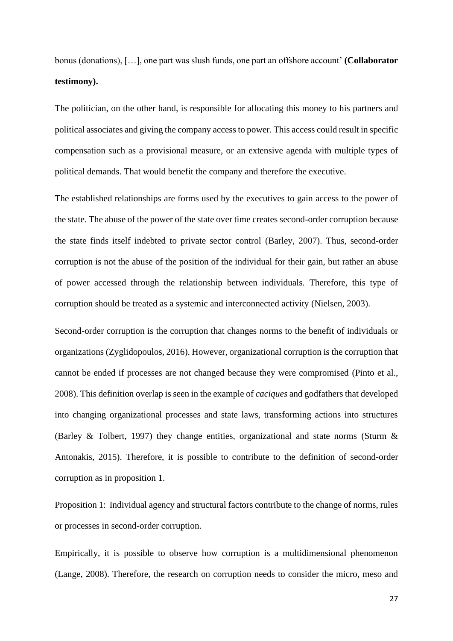bonus (donations), […], one part was slush funds, one part an offshore account' **(Collaborator testimony).**

The politician, on the other hand, is responsible for allocating this money to his partners and political associates and giving the company access to power. This access could result in specific compensation such as a provisional measure, or an extensive agenda with multiple types of political demands. That would benefit the company and therefore the executive.

The established relationships are forms used by the executives to gain access to the power of the state. The abuse of the power of the state over time creates second-order corruption because the state finds itself indebted to private sector control (Barley, 2007). Thus, second-order corruption is not the abuse of the position of the individual for their gain, but rather an abuse of power accessed through the relationship between individuals. Therefore, this type of corruption should be treated as a systemic and interconnected activity (Nielsen, 2003).

Second-order corruption is the corruption that changes norms to the benefit of individuals or organizations (Zyglidopoulos, 2016). However, organizational corruption is the corruption that cannot be ended if processes are not changed because they were compromised (Pinto et al., 2008). This definition overlap is seen in the example of *caciques* and godfathers that developed into changing organizational processes and state laws, transforming actions into structures (Barley & Tolbert, 1997) they change entities, organizational and state norms (Sturm & Antonakis, 2015). Therefore, it is possible to contribute to the definition of second-order corruption as in proposition 1.

Proposition 1: Individual agency and structural factors contribute to the change of norms, rules or processes in second-order corruption.

Empirically, it is possible to observe how corruption is a multidimensional phenomenon (Lange, 2008). Therefore, the research on corruption needs to consider the micro, meso and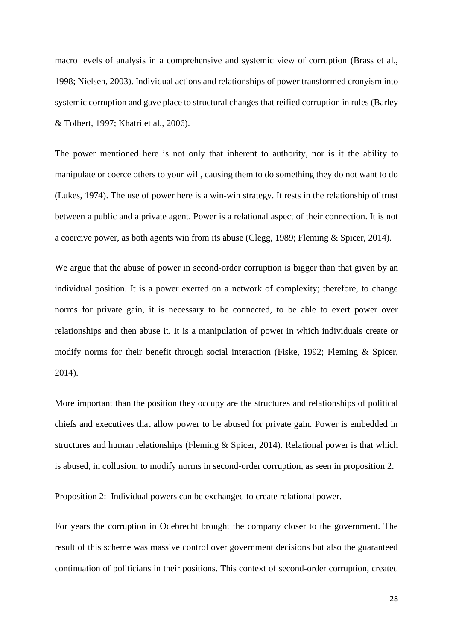macro levels of analysis in a comprehensive and systemic view of corruption (Brass et al., 1998; Nielsen, 2003). Individual actions and relationships of power transformed cronyism into systemic corruption and gave place to structural changes that reified corruption in rules (Barley & Tolbert, 1997; Khatri et al., 2006).

The power mentioned here is not only that inherent to authority, nor is it the ability to manipulate or coerce others to your will, causing them to do something they do not want to do (Lukes, 1974). The use of power here is a win-win strategy. It rests in the relationship of trust between a public and a private agent. Power is a relational aspect of their connection. It is not a coercive power, as both agents win from its abuse (Clegg, 1989; Fleming & Spicer, 2014).

We argue that the abuse of power in second-order corruption is bigger than that given by an individual position. It is a power exerted on a network of complexity; therefore, to change norms for private gain, it is necessary to be connected, to be able to exert power over relationships and then abuse it. It is a manipulation of power in which individuals create or modify norms for their benefit through social interaction (Fiske, 1992; Fleming & Spicer, 2014).

More important than the position they occupy are the structures and relationships of political chiefs and executives that allow power to be abused for private gain. Power is embedded in structures and human relationships (Fleming & Spicer, 2014). Relational power is that which is abused, in collusion, to modify norms in second-order corruption, as seen in proposition 2.

Proposition 2: Individual powers can be exchanged to create relational power.

For years the corruption in Odebrecht brought the company closer to the government. The result of this scheme was massive control over government decisions but also the guaranteed continuation of politicians in their positions. This context of second-order corruption, created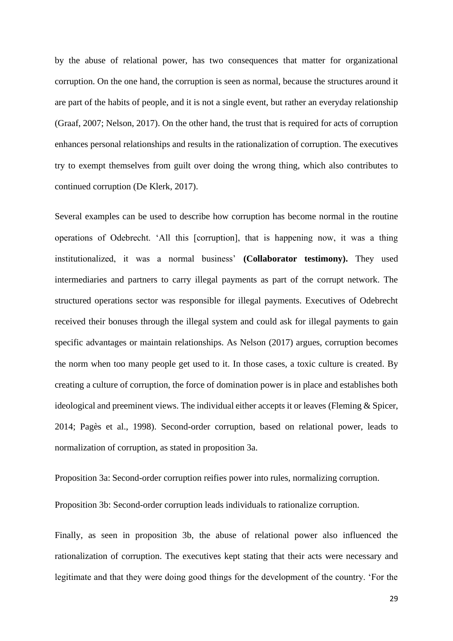by the abuse of relational power, has two consequences that matter for organizational corruption. On the one hand, the corruption is seen as normal, because the structures around it are part of the habits of people, and it is not a single event, but rather an everyday relationship (Graaf, 2007; Nelson, 2017). On the other hand, the trust that is required for acts of corruption enhances personal relationships and results in the rationalization of corruption. The executives try to exempt themselves from guilt over doing the wrong thing, which also contributes to continued corruption (De Klerk, 2017).

Several examples can be used to describe how corruption has become normal in the routine operations of Odebrecht. 'All this [corruption], that is happening now, it was a thing institutionalized, it was a normal business' **(Collaborator testimony).** They used intermediaries and partners to carry illegal payments as part of the corrupt network. The structured operations sector was responsible for illegal payments. Executives of Odebrecht received their bonuses through the illegal system and could ask for illegal payments to gain specific advantages or maintain relationships. As Nelson (2017) argues, corruption becomes the norm when too many people get used to it. In those cases, a toxic culture is created. By creating a culture of corruption, the force of domination power is in place and establishes both ideological and preeminent views. The individual either accepts it or leaves (Fleming & Spicer, 2014; Pagès et al., 1998). Second-order corruption, based on relational power, leads to normalization of corruption, as stated in proposition 3a.

Proposition 3a: Second-order corruption reifies power into rules, normalizing corruption.

Proposition 3b: Second-order corruption leads individuals to rationalize corruption.

Finally, as seen in proposition 3b, the abuse of relational power also influenced the rationalization of corruption. The executives kept stating that their acts were necessary and legitimate and that they were doing good things for the development of the country. 'For the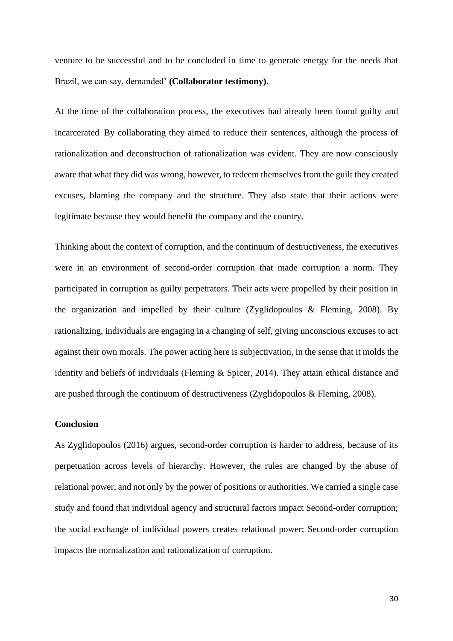venture to be successful and to be concluded in time to generate energy for the needs that Brazil, we can say, demanded' **(Collaborator testimony)**.

At the time of the collaboration process, the executives had already been found guilty and incarcerated. By collaborating they aimed to reduce their sentences, although the process of rationalization and deconstruction of rationalization was evident. They are now consciously aware that what they did was wrong, however, to redeem themselves from the guilt they created excuses, blaming the company and the structure. They also state that their actions were legitimate because they would benefit the company and the country.

Thinking about the context of corruption, and the continuum of destructiveness, the executives were in an environment of second-order corruption that made corruption a norm. They participated in corruption as guilty perpetrators. Their acts were propelled by their position in the organization and impelled by their culture (Zyglidopoulos & Fleming, 2008). By rationalizing, individuals are engaging in a changing of self, giving unconscious excuses to act against their own morals. The power acting here is subjectivation, in the sense that it molds the identity and beliefs of individuals (Fleming & Spicer, 2014). They attain ethical distance and are pushed through the continuum of destructiveness (Zyglidopoulos & Fleming, 2008).

# **Conclusion**

As Zyglidopoulos (2016) argues, second-order corruption is harder to address, because of its perpetuation across levels of hierarchy. However, the rules are changed by the abuse of relational power, and not only by the power of positions or authorities. We carried a single case study and found that individual agency and structural factors impact Second-order corruption; the social exchange of individual powers creates relational power; Second-order corruption impacts the normalization and rationalization of corruption.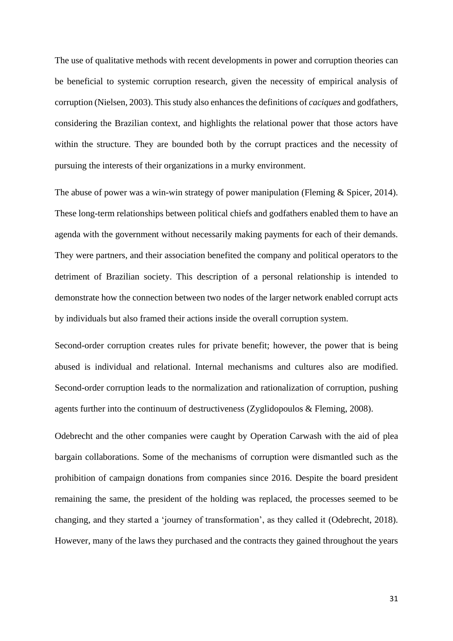The use of qualitative methods with recent developments in power and corruption theories can be beneficial to systemic corruption research, given the necessity of empirical analysis of corruption (Nielsen, 2003). This study also enhancesthe definitions of *caciques* and godfathers, considering the Brazilian context, and highlights the relational power that those actors have within the structure. They are bounded both by the corrupt practices and the necessity of pursuing the interests of their organizations in a murky environment.

The abuse of power was a win-win strategy of power manipulation (Fleming & Spicer, 2014). These long-term relationships between political chiefs and godfathers enabled them to have an agenda with the government without necessarily making payments for each of their demands. They were partners, and their association benefited the company and political operators to the detriment of Brazilian society. This description of a personal relationship is intended to demonstrate how the connection between two nodes of the larger network enabled corrupt acts by individuals but also framed their actions inside the overall corruption system.

Second-order corruption creates rules for private benefit; however, the power that is being abused is individual and relational. Internal mechanisms and cultures also are modified. Second-order corruption leads to the normalization and rationalization of corruption, pushing agents further into the continuum of destructiveness (Zyglidopoulos & Fleming, 2008).

Odebrecht and the other companies were caught by Operation Carwash with the aid of plea bargain collaborations. Some of the mechanisms of corruption were dismantled such as the prohibition of campaign donations from companies since 2016. Despite the board president remaining the same, the president of the holding was replaced, the processes seemed to be changing, and they started a 'journey of transformation', as they called it (Odebrecht, 2018). However, many of the laws they purchased and the contracts they gained throughout the years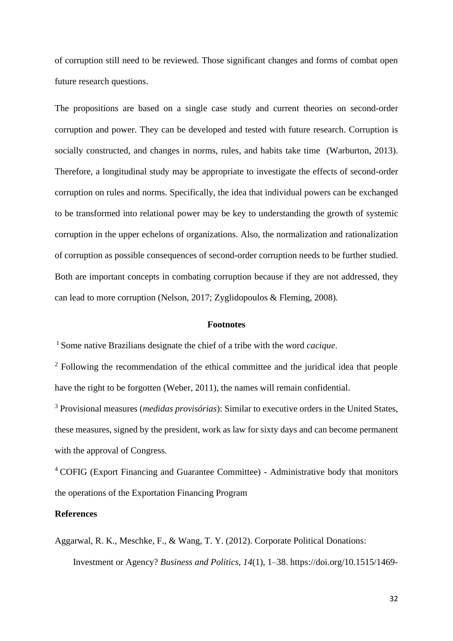of corruption still need to be reviewed. Those significant changes and forms of combat open future research questions.

The propositions are based on a single case study and current theories on second-order corruption and power. They can be developed and tested with future research. Corruption is socially constructed, and changes in norms, rules, and habits take time (Warburton, 2013). Therefore, a longitudinal study may be appropriate to investigate the effects of second-order corruption on rules and norms. Specifically, the idea that individual powers can be exchanged to be transformed into relational power may be key to understanding the growth of systemic corruption in the upper echelons of organizations. Also, the normalization and rationalization of corruption as possible consequences of second-order corruption needs to be further studied. Both are important concepts in combating corruption because if they are not addressed, they can lead to more corruption (Nelson, 2017; Zyglidopoulos & Fleming, 2008).

#### **Footnotes**

<sup>1</sup>Some native Brazilians designate the chief of a tribe with the word *cacique*.

<sup>2</sup> Following the recommendation of the ethical committee and the juridical idea that people have the right to be forgotten (Weber, 2011), the names will remain confidential.

<sup>3</sup> Provisional measures (*medidas provisórias*): Similar to executive orders in the United States, these measures, signed by the president, work as law for sixty days and can become permanent with the approval of Congress.

<sup>4</sup> COFIG (Export Financing and Guarantee Committee) - Administrative body that monitors the operations of the Exportation Financing Program

# **References**

Aggarwal, R. K., Meschke, F., & Wang, T. Y. (2012). Corporate Political Donations: Investment or Agency? *Business and Politics*, *14*(1), 1–38. https://doi.org/10.1515/1469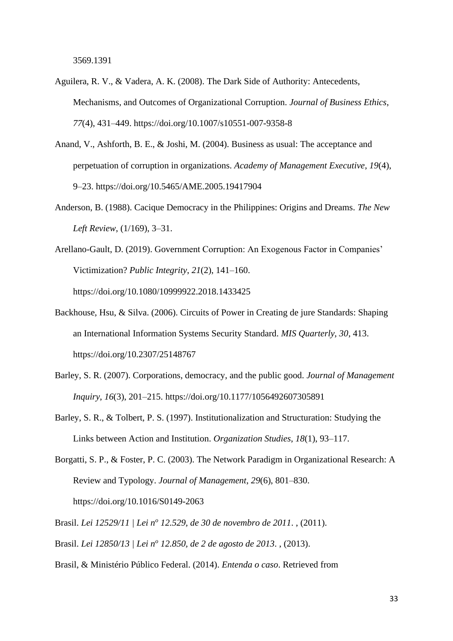3569.1391

- Aguilera, R. V., & Vadera, A. K. (2008). The Dark Side of Authority: Antecedents, Mechanisms, and Outcomes of Organizational Corruption. *Journal of Business Ethics*, *77*(4), 431–449. https://doi.org/10.1007/s10551-007-9358-8
- Anand, V., Ashforth, B. E., & Joshi, M. (2004). Business as usual: The acceptance and perpetuation of corruption in organizations. *Academy of Management Executive*, *19*(4), 9–23. https://doi.org/10.5465/AME.2005.19417904
- Anderson, B. (1988). Cacique Democracy in the Philippines: Origins and Dreams. *The New Left Review*, (1/169), 3–31.
- Arellano-Gault, D. (2019). Government Corruption: An Exogenous Factor in Companies' Victimization? *Public Integrity*, *21*(2), 141–160. https://doi.org/10.1080/10999922.2018.1433425
- Backhouse, Hsu, & Silva. (2006). Circuits of Power in Creating de jure Standards: Shaping an International Information Systems Security Standard. *MIS Quarterly*, *30*, 413. https://doi.org/10.2307/25148767
- Barley, S. R. (2007). Corporations, democracy, and the public good. *Journal of Management Inquiry*, *16*(3), 201–215. https://doi.org/10.1177/1056492607305891
- Barley, S. R., & Tolbert, P. S. (1997). Institutionalization and Structuration: Studying the Links between Action and Institution. *Organization Studies*, *18*(1), 93–117.
- Borgatti, S. P., & Foster, P. C. (2003). The Network Paradigm in Organizational Research: A Review and Typology. *Journal of Management*, *29*(6), 801–830. https://doi.org/10.1016/S0149-2063
- Brasil. *Lei 12529/11 | Lei n<sup>o</sup> 12.529, de 30 de novembro de 2011*. , (2011).
- Brasil. *Lei 12850/13 | Lei n<sup>o</sup> 12.850, de 2 de agosto de 2013*. , (2013).
- Brasil, & Ministério Público Federal. (2014). *Entenda o caso*. Retrieved from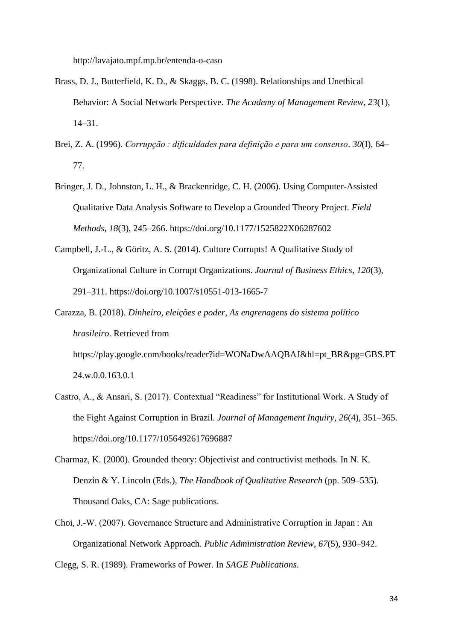http://lavajato.mpf.mp.br/entenda-o-caso

- Brass, D. J., Butterfield, K. D., & Skaggs, B. C. (1998). Relationships and Unethical Behavior: A Social Network Perspective. *The Academy of Management Review*, *23*(1), 14–31.
- Brei, Z. A. (1996). *Corrupção : dificuldades para definição e para um consenso*. *30*(I), 64– 77.
- Bringer, J. D., Johnston, L. H., & Brackenridge, C. H. (2006). Using Computer-Assisted Qualitative Data Analysis Software to Develop a Grounded Theory Project. *Field Methods*, *18*(3), 245–266. https://doi.org/10.1177/1525822X06287602
- Campbell, J.-L., & Göritz, A. S. (2014). Culture Corrupts! A Qualitative Study of Organizational Culture in Corrupt Organizations. *Journal of Business Ethics*, *120*(3), 291–311. https://doi.org/10.1007/s10551-013-1665-7
- Carazza, B. (2018). *Dinheiro, eleições e poder, As engrenagens do sistema político brasileiro*. Retrieved from https://play.google.com/books/reader?id=WONaDwAAQBAJ&hl=pt\_BR&pg=GBS.PT 24.w.0.0.163.0.1
- Castro, A., & Ansari, S. (2017). Contextual "Readiness" for Institutional Work. A Study of the Fight Against Corruption in Brazil. *Journal of Management Inquiry*, *26*(4), 351–365. https://doi.org/10.1177/1056492617696887
- Charmaz, K. (2000). Grounded theory: Objectivist and contructivist methods. In N. K. Denzin & Y. Lincoln (Eds.), *The Handbook of Qualitative Research* (pp. 509–535). Thousand Oaks, CA: Sage publications.
- Choi, J.-W. (2007). Governance Structure and Administrative Corruption in Japan : An Organizational Network Approach. *Public Administration Review*, *67*(5), 930–942.

Clegg, S. R. (1989). Frameworks of Power. In *SAGE Publications*.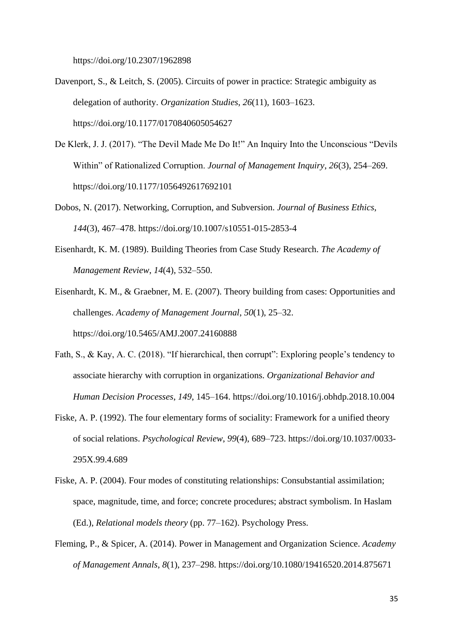https://doi.org/10.2307/1962898

- Davenport, S., & Leitch, S. (2005). Circuits of power in practice: Strategic ambiguity as delegation of authority. *Organization Studies*, *26*(11), 1603–1623. https://doi.org/10.1177/0170840605054627
- De Klerk, J. J. (2017). "The Devil Made Me Do It!" An Inquiry Into the Unconscious "Devils Within" of Rationalized Corruption. *Journal of Management Inquiry*, *26*(3), 254–269. https://doi.org/10.1177/1056492617692101
- Dobos, N. (2017). Networking, Corruption, and Subversion. *Journal of Business Ethics*, *144*(3), 467–478. https://doi.org/10.1007/s10551-015-2853-4
- Eisenhardt, K. M. (1989). Building Theories from Case Study Research. *The Academy of Management Review*, *14*(4), 532–550.

Eisenhardt, K. M., & Graebner, M. E. (2007). Theory building from cases: Opportunities and challenges. *Academy of Management Journal*, *50*(1), 25–32. https://doi.org/10.5465/AMJ.2007.24160888

- Fath, S., & Kay, A. C. (2018). "If hierarchical, then corrupt": Exploring people's tendency to associate hierarchy with corruption in organizations. *Organizational Behavior and Human Decision Processes*, *149*, 145–164. https://doi.org/10.1016/j.obhdp.2018.10.004
- Fiske, A. P. (1992). The four elementary forms of sociality: Framework for a unified theory of social relations. *Psychological Review*, *99*(4), 689–723. https://doi.org/10.1037/0033- 295X.99.4.689
- Fiske, A. P. (2004). Four modes of constituting relationships: Consubstantial assimilation; space, magnitude, time, and force; concrete procedures; abstract symbolism. In Haslam (Ed.), *Relational models theory* (pp. 77–162). Psychology Press.
- Fleming, P., & Spicer, A. (2014). Power in Management and Organization Science. *Academy of Management Annals*, *8*(1), 237–298. https://doi.org/10.1080/19416520.2014.875671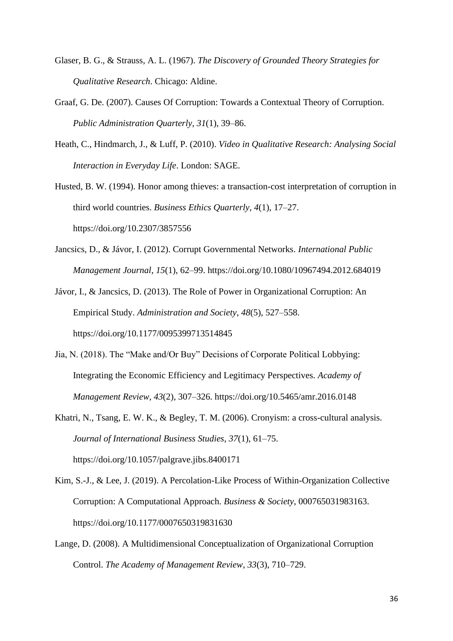- Glaser, B. G., & Strauss, A. L. (1967). *The Discovery of Grounded Theory Strategies for Qualitative Research*. Chicago: Aldine.
- Graaf, G. De. (2007). Causes Of Corruption: Towards a Contextual Theory of Corruption. *Public Administration Quarterly*, *31*(1), 39–86.
- Heath, C., Hindmarch, J., & Luff, P. (2010). *Video in Qualitative Research: Analysing Social Interaction in Everyday Life*. London: SAGE.
- Husted, B. W. (1994). Honor among thieves: a transaction-cost interpretation of corruption in third world countries. *Business Ethics Quarterly*, *4*(1), 17–27. https://doi.org/10.2307/3857556
- Jancsics, D., & Jávor, I. (2012). Corrupt Governmental Networks. *International Public Management Journal*, *15*(1), 62–99. https://doi.org/10.1080/10967494.2012.684019
- Jávor, I., & Jancsics, D. (2013). The Role of Power in Organizational Corruption: An Empirical Study. *Administration and Society*, *48*(5), 527–558. https://doi.org/10.1177/0095399713514845
- Jia, N. (2018). The "Make and/Or Buy" Decisions of Corporate Political Lobbying: Integrating the Economic Efficiency and Legitimacy Perspectives. *Academy of Management Review*, *43*(2), 307–326. https://doi.org/10.5465/amr.2016.0148
- Khatri, N., Tsang, E. W. K., & Begley, T. M. (2006). Cronyism: a cross-cultural analysis. *Journal of International Business Studies*, *37*(1), 61–75. https://doi.org/10.1057/palgrave.jibs.8400171
- Kim, S.-J., & Lee, J. (2019). A Percolation-Like Process of Within-Organization Collective Corruption: A Computational Approach. *Business & Society*, 000765031983163. https://doi.org/10.1177/0007650319831630
- Lange, D. (2008). A Multidimensional Conceptualization of Organizational Corruption Control. *The Academy of Management Review*, *33*(3), 710–729.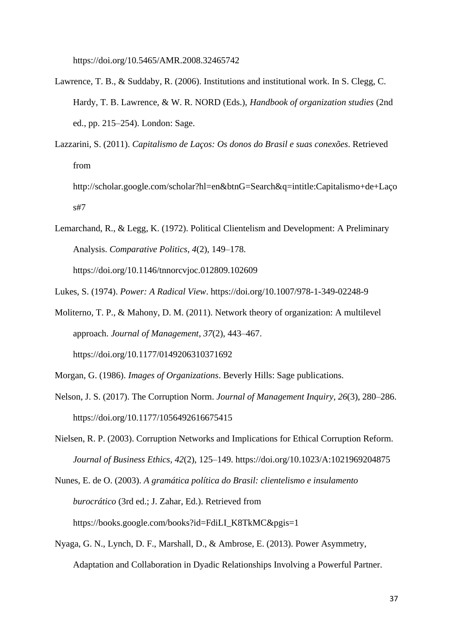https://doi.org/10.5465/AMR.2008.32465742

- Lawrence, T. B., & Suddaby, R. (2006). Institutions and institutional work. In S. Clegg, C. Hardy, T. B. Lawrence, & W. R. NORD (Eds.), *Handbook of organization studies* (2nd ed., pp. 215–254). London: Sage.
- Lazzarini, S. (2011). *Capitalismo de Laços: Os donos do Brasil e suas conexões*. Retrieved from
	- http://scholar.google.com/scholar?hl=en&btnG=Search&q=intitle:Capitalismo+de+Laço s#7
- Lemarchand, R., & Legg, K. (1972). Political Clientelism and Development: A Preliminary Analysis. *Comparative Politics*, *4*(2), 149–178. https://doi.org/10.1146/tnnorcvjoc.012809.102609

Lukes, S. (1974). *Power: A Radical View*. https://doi.org/10.1007/978-1-349-02248-9

- Moliterno, T. P., & Mahony, D. M. (2011). Network theory of organization: A multilevel approach. *Journal of Management*, *37*(2), 443–467. https://doi.org/10.1177/0149206310371692
- Morgan, G. (1986). *Images of Organizations*. Beverly Hills: Sage publications.
- Nelson, J. S. (2017). The Corruption Norm. *Journal of Management Inquiry*, *26*(3), 280–286. https://doi.org/10.1177/1056492616675415
- Nielsen, R. P. (2003). Corruption Networks and Implications for Ethical Corruption Reform. *Journal of Business Ethics*, *42*(2), 125–149. https://doi.org/10.1023/A:1021969204875
- Nunes, E. de O. (2003). *A gramática política do Brasil: clientelismo e insulamento burocrático* (3rd ed.; J. Zahar, Ed.). Retrieved from https://books.google.com/books?id=FdiLI\_K8TkMC&pgis=1
- Nyaga, G. N., Lynch, D. F., Marshall, D., & Ambrose, E. (2013). Power Asymmetry, Adaptation and Collaboration in Dyadic Relationships Involving a Powerful Partner.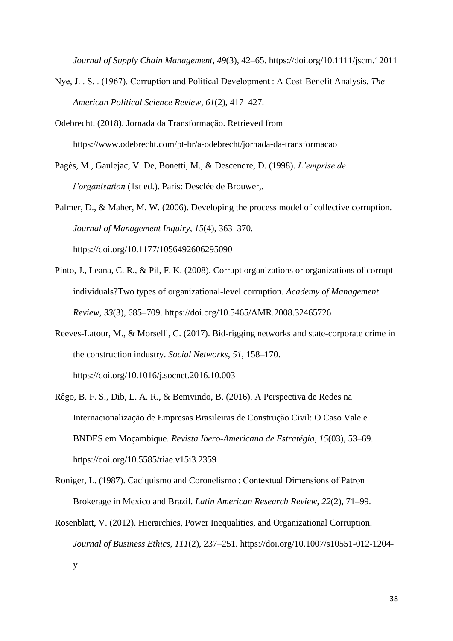*Journal of Supply Chain Management*, *49*(3), 42–65. https://doi.org/10.1111/jscm.12011

- Nye, J. . S. . (1967). Corruption and Political Development : A Cost-Benefit Analysis. *The American Political Science Review*, *61*(2), 417–427.
- Odebrecht. (2018). Jornada da Transformação. Retrieved from https://www.odebrecht.com/pt-br/a-odebrecht/jornada-da-transformacao
- Pagès, M., Gaulejac, V. De, Bonetti, M., & Descendre, D. (1998). *L'emprise de l'organisation* (1st ed.). Paris: Desclée de Brouwer,.

Palmer, D., & Maher, M. W. (2006). Developing the process model of collective corruption. *Journal of Management Inquiry*, *15*(4), 363–370. https://doi.org/10.1177/1056492606295090

- Pinto, J., Leana, C. R., & Pil, F. K. (2008). Corrupt organizations or organizations of corrupt individuals?Two types of organizational-level corruption. *Academy of Management Review*, *33*(3), 685–709. https://doi.org/10.5465/AMR.2008.32465726
- Reeves-Latour, M., & Morselli, C. (2017). Bid-rigging networks and state-corporate crime in the construction industry. *Social Networks*, *51*, 158–170. https://doi.org/10.1016/j.socnet.2016.10.003
- Rêgo, B. F. S., Dib, L. A. R., & Bemvindo, B. (2016). A Perspectiva de Redes na Internacionalização de Empresas Brasileiras de Construção Civil: O Caso Vale e BNDES em Moçambique. *Revista Ibero-Americana de Estratégia*, *15*(03), 53–69. https://doi.org/10.5585/riae.v15i3.2359
- Roniger, L. (1987). Caciquismo and Coronelismo : Contextual Dimensions of Patron Brokerage in Mexico and Brazil. *Latin American Research Review*, *22*(2), 71–99.
- Rosenblatt, V. (2012). Hierarchies, Power Inequalities, and Organizational Corruption. *Journal of Business Ethics*, *111*(2), 237–251. https://doi.org/10.1007/s10551-012-1204 y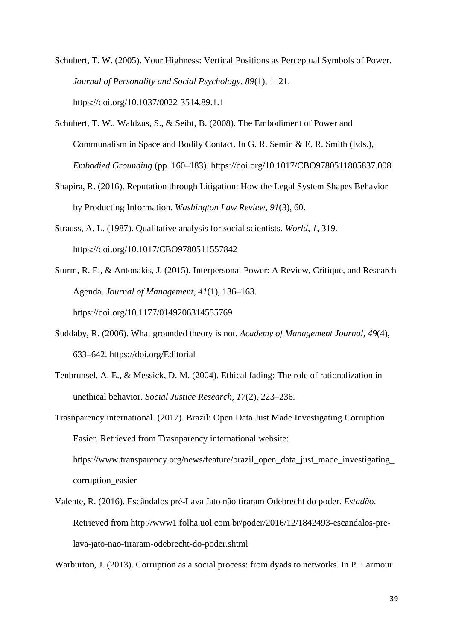Schubert, T. W. (2005). Your Highness: Vertical Positions as Perceptual Symbols of Power. *Journal of Personality and Social Psychology*, *89*(1), 1–21. https://doi.org/10.1037/0022-3514.89.1.1

- Schubert, T. W., Waldzus, S., & Seibt, B. (2008). The Embodiment of Power and Communalism in Space and Bodily Contact. In G. R. Semin & E. R. Smith (Eds.), *Embodied Grounding* (pp. 160–183). https://doi.org/10.1017/CBO9780511805837.008
- Shapira, R. (2016). Reputation through Litigation: How the Legal System Shapes Behavior by Producting Information. *Washington Law Review*, *91*(3), 60.
- Strauss, A. L. (1987). Qualitative analysis for social scientists. *World*, *1*, 319. https://doi.org/10.1017/CBO9780511557842
- Sturm, R. E., & Antonakis, J. (2015). Interpersonal Power: A Review, Critique, and Research Agenda. *Journal of Management*, *41*(1), 136–163. https://doi.org/10.1177/0149206314555769
- Suddaby, R. (2006). What grounded theory is not. *Academy of Management Journal*, *49*(4), 633–642. https://doi.org/Editorial
- Tenbrunsel, A. E., & Messick, D. M. (2004). Ethical fading: The role of rationalization in unethical behavior. *Social Justice Research*, *17*(2), 223–236.
- Trasnparency international. (2017). Brazil: Open Data Just Made Investigating Corruption Easier. Retrieved from Trasnparency international website: https://www.transparency.org/news/feature/brazil\_open\_data\_just\_made\_investigating\_ corruption\_easier
- Valente, R. (2016). Escândalos pré-Lava Jato não tiraram Odebrecht do poder. *Estadão*. Retrieved from http://www1.folha.uol.com.br/poder/2016/12/1842493-escandalos-prelava-jato-nao-tiraram-odebrecht-do-poder.shtml

Warburton, J. (2013). Corruption as a social process: from dyads to networks. In P. Larmour